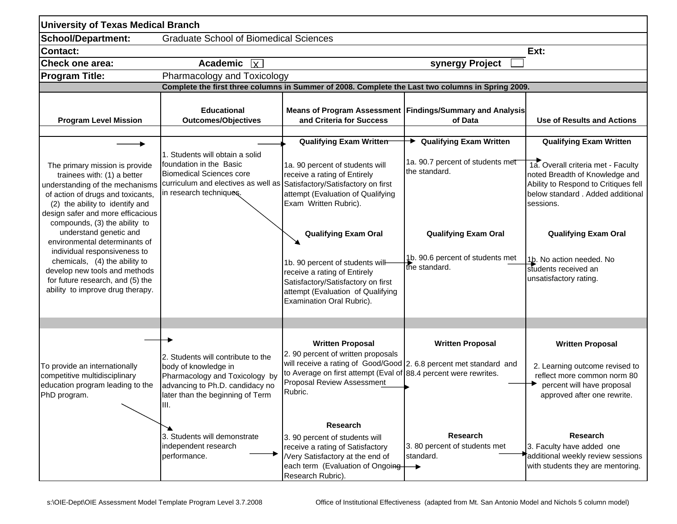| <b>University of Texas Medical Branch</b>                                                                                                                                                                                                                                                                                                                                                                                                                                           |                                                                                                                                                                             |                                                                                                                                                                                                                                                                                                                                                                                |                                                                                                                                       |                                                                                                                                                                                                                                                                            |  |  |  |
|-------------------------------------------------------------------------------------------------------------------------------------------------------------------------------------------------------------------------------------------------------------------------------------------------------------------------------------------------------------------------------------------------------------------------------------------------------------------------------------|-----------------------------------------------------------------------------------------------------------------------------------------------------------------------------|--------------------------------------------------------------------------------------------------------------------------------------------------------------------------------------------------------------------------------------------------------------------------------------------------------------------------------------------------------------------------------|---------------------------------------------------------------------------------------------------------------------------------------|----------------------------------------------------------------------------------------------------------------------------------------------------------------------------------------------------------------------------------------------------------------------------|--|--|--|
| <b>School/Department:</b>                                                                                                                                                                                                                                                                                                                                                                                                                                                           | <b>Graduate School of Biomedical Sciences</b>                                                                                                                               |                                                                                                                                                                                                                                                                                                                                                                                |                                                                                                                                       |                                                                                                                                                                                                                                                                            |  |  |  |
| <b>Contact:</b>                                                                                                                                                                                                                                                                                                                                                                                                                                                                     | Ext:                                                                                                                                                                        |                                                                                                                                                                                                                                                                                                                                                                                |                                                                                                                                       |                                                                                                                                                                                                                                                                            |  |  |  |
| <b>Check one area:</b>                                                                                                                                                                                                                                                                                                                                                                                                                                                              | <b>Academic</b><br>$\overline{\mathbf{x}}$                                                                                                                                  |                                                                                                                                                                                                                                                                                                                                                                                | synergy Project                                                                                                                       |                                                                                                                                                                                                                                                                            |  |  |  |
| <b>Program Title:</b>                                                                                                                                                                                                                                                                                                                                                                                                                                                               | Pharmacology and Toxicology                                                                                                                                                 |                                                                                                                                                                                                                                                                                                                                                                                |                                                                                                                                       |                                                                                                                                                                                                                                                                            |  |  |  |
| Complete the first three columns in Summer of 2008. Complete the Last two columns in Spring 2009.                                                                                                                                                                                                                                                                                                                                                                                   |                                                                                                                                                                             |                                                                                                                                                                                                                                                                                                                                                                                |                                                                                                                                       |                                                                                                                                                                                                                                                                            |  |  |  |
| <b>Program Level Mission</b>                                                                                                                                                                                                                                                                                                                                                                                                                                                        | <b>Educational</b><br><b>Outcomes/Objectives</b>                                                                                                                            | and Criteria for Success                                                                                                                                                                                                                                                                                                                                                       | Means of Program Assessment   Findings/Summary and Analysis<br>of Data                                                                | <b>Use of Results and Actions</b>                                                                                                                                                                                                                                          |  |  |  |
|                                                                                                                                                                                                                                                                                                                                                                                                                                                                                     |                                                                                                                                                                             | <b>Qualifying Exam Written</b>                                                                                                                                                                                                                                                                                                                                                 | → Qualifying Exam Written                                                                                                             | <b>Qualifying Exam Written</b>                                                                                                                                                                                                                                             |  |  |  |
| The primary mission is provide<br>trainees with: (1) a better<br>understanding of the mechanisms<br>of action of drugs and toxicants,<br>(2) the ability to identify and<br>design safer and more efficacious<br>compounds, (3) the ability to<br>understand genetic and<br>environmental determinants of<br>individual responsiveness to<br>chemicals, (4) the ability to<br>develop new tools and methods<br>for future research, and (5) the<br>ability to improve drug therapy. | 1. Students will obtain a solid<br>foundation in the Basic<br><b>Biomedical Sciences core</b><br>curriculum and electives as well as<br>in research techniques.             | 1a. 90 percent of students will<br>receive a rating of Entirely<br>Satisfactory/Satisfactory on first<br>attempt (Evaluation of Qualifying<br>Exam Written Rubric).<br><b>Qualifying Exam Oral</b><br>1b. 90 percent of students will-<br>receive a rating of Entirely<br>Satisfactory/Satisfactory on first<br>attempt (Evaluation of Qualifying<br>Examination Oral Rubric). | 1a. 90.7 percent of students met<br>the standard.<br><b>Qualifying Exam Oral</b><br>1b. 90.6 percent of students met<br>the standard. | 1a. Overall criteria met - Faculty<br>noted Breadth of Knowledge and<br>Ability to Respond to Critiques fell<br>below standard. Added additional<br>sessions.<br><b>Qualifying Exam Oral</b><br>1b. No action needed. No<br>students received an<br>unsatisfactory rating. |  |  |  |
|                                                                                                                                                                                                                                                                                                                                                                                                                                                                                     |                                                                                                                                                                             |                                                                                                                                                                                                                                                                                                                                                                                |                                                                                                                                       |                                                                                                                                                                                                                                                                            |  |  |  |
| To provide an internationally<br>competitive multidisciplinary<br>education program leading to the<br>PhD program.                                                                                                                                                                                                                                                                                                                                                                  | 2. Students will contribute to the<br>body of knowledge in<br>Pharmacology and Toxicology by<br>advancing to Ph.D. candidacy no<br>later than the beginning of Term<br>III. | <b>Written Proposal</b><br>2. 90 percent of written proposals<br>will receive a rating of Good/Good 2. 6.8 percent met standard and<br>to Average on first attempt (Eval of 88.4 percent were rewrites.<br>Proposal Review Assessment<br>Rubric.                                                                                                                               | <b>Written Proposal</b>                                                                                                               | <b>Written Proposal</b><br>2. Learning outcome revised to<br>reflect more common norm 80<br>percent will have proposal<br>approved after one rewrite.                                                                                                                      |  |  |  |
|                                                                                                                                                                                                                                                                                                                                                                                                                                                                                     | 3. Students will demonstrate<br>independent research<br>performance.                                                                                                        | Research<br>3. 90 percent of students will<br>receive a rating of Satisfactory<br><b>Nery Satisfactory at the end of</b><br>each term (Evaluation of Ongoing $\rightarrow$<br>Research Rubric).                                                                                                                                                                                | <b>Research</b><br>3.80 percent of students met<br>standard.                                                                          | <b>Research</b><br>3. Faculty have added one<br>additional weekly review sessions<br>with students they are mentoring.                                                                                                                                                     |  |  |  |